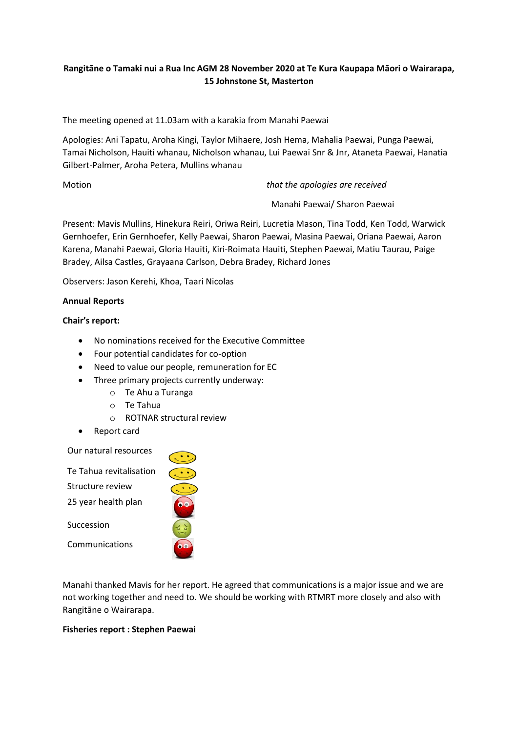# **Rangitāne o Tamaki nui a Rua Inc AGM 28 November 2020 at Te Kura Kaupapa Māori o Wairarapa, 15 Johnstone St, Masterton**

The meeting opened at 11.03am with a karakia from Manahi Paewai

Apologies: Ani Tapatu, Aroha Kingi, Taylor Mihaere, Josh Hema, Mahalia Paewai, Punga Paewai, Tamai Nicholson, Hauiti whanau, Nicholson whanau, Lui Paewai Snr & Jnr, Ataneta Paewai, Hanatia Gilbert-Palmer, Aroha Petera, Mullins whanau

Motion *that the apologies are received*

Manahi Paewai/ Sharon Paewai

Present: Mavis Mullins, Hinekura Reiri, Oriwa Reiri, Lucretia Mason, Tina Todd, Ken Todd, Warwick Gernhoefer, Erin Gernhoefer, Kelly Paewai, Sharon Paewai, Masina Paewai, Oriana Paewai, Aaron Karena, Manahi Paewai, Gloria Hauiti, Kiri-Roimata Hauiti, Stephen Paewai, Matiu Taurau, Paige Bradey, Ailsa Castles, Grayaana Carlson, Debra Bradey, Richard Jones

Observers: Jason Kerehi, Khoa, Taari Nicolas

# **Annual Reports**

### **Chair's report:**

- No nominations received for the Executive Committee
- Four potential candidates for co-option
- Need to value our people, remuneration for EC
- Three primary projects currently underway:
	- o Te Ahu a Turanga
	- o Te Tahua
	- o ROTNAR structural review
- Report card

### Our natural resources



Manahi thanked Mavis for her report. He agreed that communications is a major issue and we are not working together and need to. We should be working with RTMRT more closely and also with Rangitāne o Wairarapa.

### **Fisheries report : Stephen Paewai**